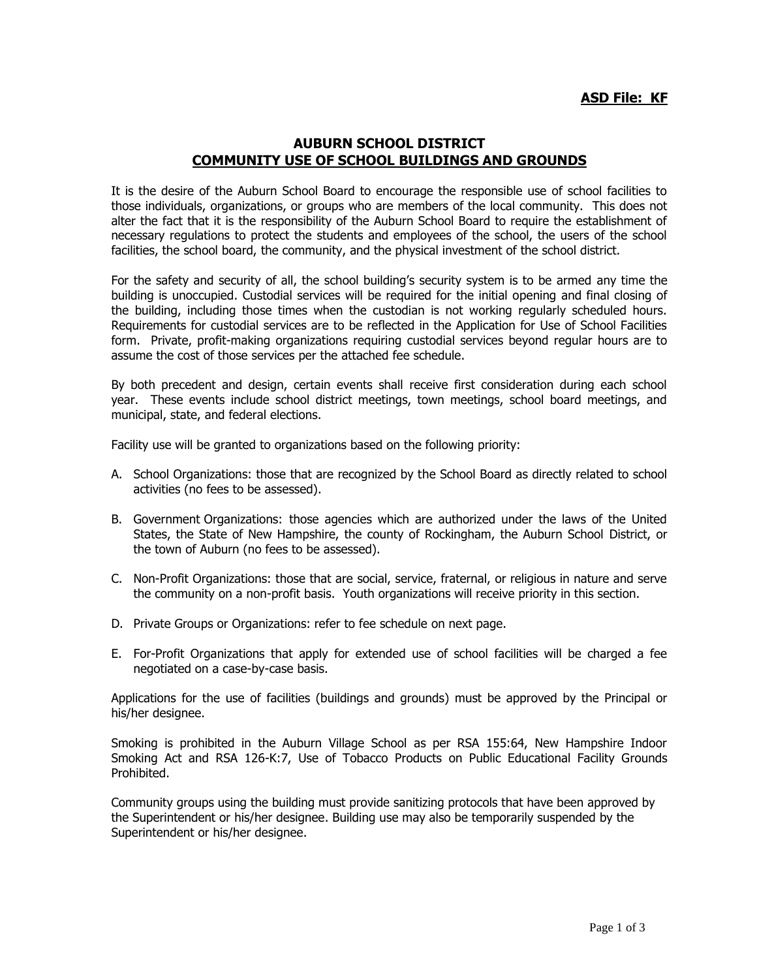## **AUBURN SCHOOL DISTRICT COMMUNITY USE OF SCHOOL BUILDINGS AND GROUNDS**

It is the desire of the Auburn School Board to encourage the responsible use of school facilities to those individuals, organizations, or groups who are members of the local community. This does not alter the fact that it is the responsibility of the Auburn School Board to require the establishment of necessary regulations to protect the students and employees of the school, the users of the school facilities, the school board, the community, and the physical investment of the school district.

For the safety and security of all, the school building's security system is to be armed any time the building is unoccupied. Custodial services will be required for the initial opening and final closing of the building, including those times when the custodian is not working regularly scheduled hours. Requirements for custodial services are to be reflected in the Application for Use of School Facilities form. Private, profit-making organizations requiring custodial services beyond regular hours are to assume the cost of those services per the attached fee schedule.

By both precedent and design, certain events shall receive first consideration during each school year. These events include school district meetings, town meetings, school board meetings, and municipal, state, and federal elections.

Facility use will be granted to organizations based on the following priority:

- A. School Organizations: those that are recognized by the School Board as directly related to school activities (no fees to be assessed).
- B. Government Organizations: those agencies which are authorized under the laws of the United States, the State of New Hampshire, the county of Rockingham, the Auburn School District, or the town of Auburn (no fees to be assessed).
- C. Non-Profit Organizations: those that are social, service, fraternal, or religious in nature and serve the community on a non-profit basis. Youth organizations will receive priority in this section.
- D. Private Groups or Organizations: refer to fee schedule on next page.
- E. For-Profit Organizations that apply for extended use of school facilities will be charged a fee negotiated on a case-by-case basis.

Applications for the use of facilities (buildings and grounds) must be approved by the Principal or his/her designee.

Smoking is prohibited in the Auburn Village School as per RSA 155:64, New Hampshire Indoor Smoking Act and RSA 126-K:7, Use of Tobacco Products on Public Educational Facility Grounds Prohibited.

Community groups using the building must provide sanitizing protocols that have been approved by the Superintendent or his/her designee. Building use may also be temporarily suspended by the Superintendent or his/her designee.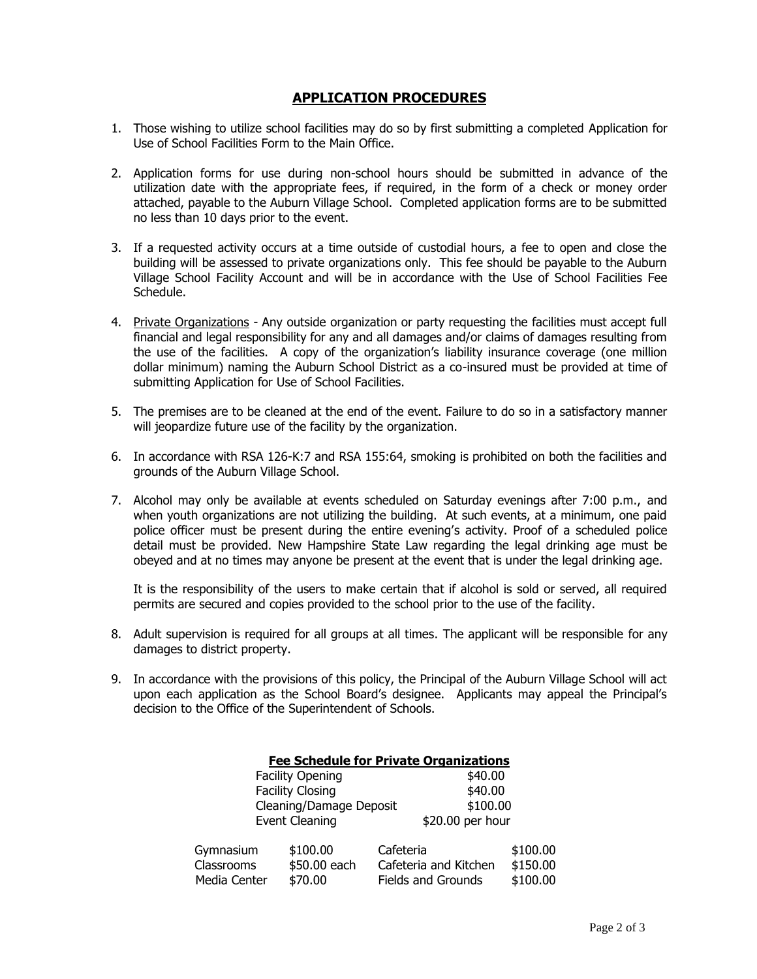## **APPLICATION PROCEDURES**

- 1. Those wishing to utilize school facilities may do so by first submitting a completed Application for Use of School Facilities Form to the Main Office.
- 2. Application forms for use during non-school hours should be submitted in advance of the utilization date with the appropriate fees, if required, in the form of a check or money order attached, payable to the Auburn Village School. Completed application forms are to be submitted no less than 10 days prior to the event.
- 3. If a requested activity occurs at a time outside of custodial hours, a fee to open and close the building will be assessed to private organizations only. This fee should be payable to the Auburn Village School Facility Account and will be in accordance with the Use of School Facilities Fee Schedule.
- 4. Private Organizations Any outside organization or party requesting the facilities must accept full financial and legal responsibility for any and all damages and/or claims of damages resulting from the use of the facilities. A copy of the organization's liability insurance coverage (one million dollar minimum) naming the Auburn School District as a co-insured must be provided at time of submitting Application for Use of School Facilities.
- 5. The premises are to be cleaned at the end of the event. Failure to do so in a satisfactory manner will jeopardize future use of the facility by the organization.
- 6. In accordance with RSA 126-K:7 and RSA 155:64, smoking is prohibited on both the facilities and grounds of the Auburn Village School.
- 7. Alcohol may only be available at events scheduled on Saturday evenings after 7:00 p.m., and when youth organizations are not utilizing the building. At such events, at a minimum, one paid police officer must be present during the entire evening's activity. Proof of a scheduled police detail must be provided. New Hampshire State Law regarding the legal drinking age must be obeyed and at no times may anyone be present at the event that is under the legal drinking age.

It is the responsibility of the users to make certain that if alcohol is sold or served, all required permits are secured and copies provided to the school prior to the use of the facility.

- 8. Adult supervision is required for all groups at all times. The applicant will be responsible for any damages to district property.
- 9. In accordance with the provisions of this policy, the Principal of the Auburn Village School will act upon each application as the School Board's designee. Applicants may appeal the Principal's decision to the Office of the Superintendent of Schools.

| <b>Fee Schedule for Private Organizations</b> |              |                       |                  |  |
|-----------------------------------------------|--------------|-----------------------|------------------|--|
| <b>Facility Opening</b>                       |              |                       | \$40.00          |  |
| <b>Facility Closing</b>                       |              |                       | \$40.00          |  |
| Cleaning/Damage Deposit                       |              | \$100.00              |                  |  |
| <b>Event Cleaning</b>                         |              |                       | \$20.00 per hour |  |
| Gymnasium                                     | \$100.00     | Cafeteria             | \$100.00         |  |
| Classrooms                                    | \$50.00 each | Cafeteria and Kitchen | \$150.00         |  |
| Media Center                                  | \$70.00      | Fields and Grounds    | \$100.00         |  |